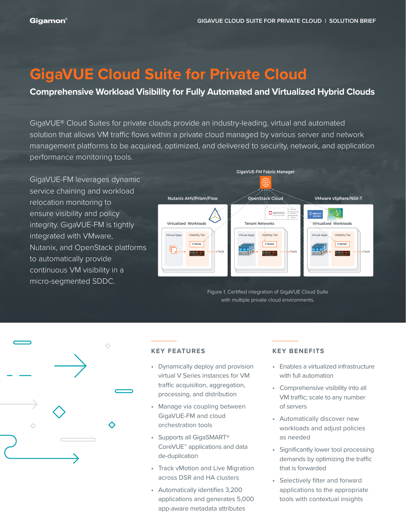# **GigaVUE Cloud Suite for Private Cloud**

### **Comprehensive Workload Visibility for Fully Automated and Virtualized Hybrid Clouds**

GigaVUE® Cloud Suites for private clouds provide an industry-leading, virtual and automated solution that allows VM traffic flows within a private cloud managed by various server and network management platforms to be acquired, optimized, and delivered to security, network, and application performance monitoring tools.

GigaVUE-FM leverages dynamic service chaining and workload relocation monitoring to ensure visibility and policy integrity. GigaVUE-FM is tightly integrated with VMware, Nutanix, and OpenStack platforms to automatically provide continuous VM visibility in a micro-segmented SDDC.



Figure 1. Certified integration of GigaVUE Cloud Suite with multiple private cloud environments.



#### **KEY FEATURES**

- Dynamically deploy and provision virtual V Series instances for VM traffic acquisition, aggregation, processing, and distribution
- Manage via coupling between GigaVUE-FM and cloud orchestration tools
- Supports all GigaSMART® CoreVUE™ applications and data de-duplication
- Track vMotion and Live Migration across DSR and HA clusters
- Automatically identifies 3,200 applications and generates 5,000 app-aware metadata attributes

#### **KEY BENEFITS**

- Enables a virtualized infrastructure with full automation
- Comprehensive visibility into all VM traffic; scale to any number of servers
- Automatically discover new workloads and adjust policies as needed
- Significantly lower tool processing demands by optimizing the traffic that is forwarded
- Selectively filter and forward applications to the appropriate tools with contextual insights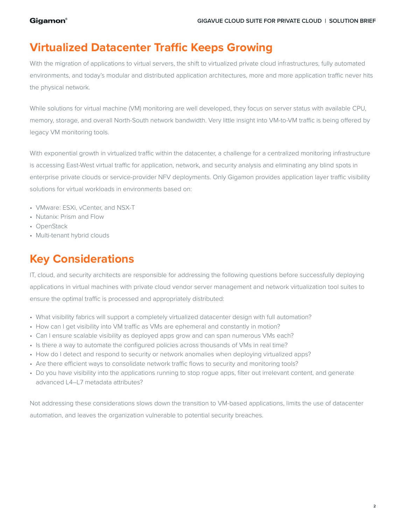### **Virtualized Datacenter Traffic Keeps Growing**

With the migration of applications to virtual servers, the shift to virtualized private cloud infrastructures, fully automated environments, and today's modular and distributed application architectures, more and more application traffic never hits the physical network.

While solutions for virtual machine (VM) monitoring are well developed, they focus on server status with available CPU, memory, storage, and overall North-South network bandwidth. Very little insight into VM-to-VM traffic is being offered by legacy VM monitoring tools.

With exponential growth in virtualized traffic within the datacenter, a challenge for a centralized monitoring infrastructure is accessing East-West virtual traffic for application, network, and security analysis and eliminating any blind spots in enterprise private clouds or service-provider NFV deployments. Only Gigamon provides application layer traffic visibility solutions for virtual workloads in environments based on:

- VMware: ESXi, vCenter, and NSX-T
- Nutanix: Prism and Flow
- OpenStack
- Multi-tenant hybrid clouds

## **Key Considerations**

IT, cloud, and security architects are responsible for addressing the following questions before successfully deploying applications in virtual machines with private cloud vendor server management and network virtualization tool suites to ensure the optimal traffic is processed and appropriately distributed:

- What visibility fabrics will support a completely virtualized datacenter design with full automation?
- How can I get visibility into VM traffic as VMs are ephemeral and constantly in motion?
- Can I ensure scalable visibility as deployed apps grow and can span numerous VMs each?
- Is there a way to automate the configured policies across thousands of VMs in real time?
- How do I detect and respond to security or network anomalies when deploying virtualized apps?
- Are there efficient ways to consolidate network traffic flows to security and monitoring tools?
- Do you have visibility into the applications running to stop rogue apps, filter out irrelevant content, and generate advanced L4–L7 metadata attributes?

Not addressing these considerations slows down the transition to VM-based applications, limits the use of datacenter automation, and leaves the organization vulnerable to potential security breaches.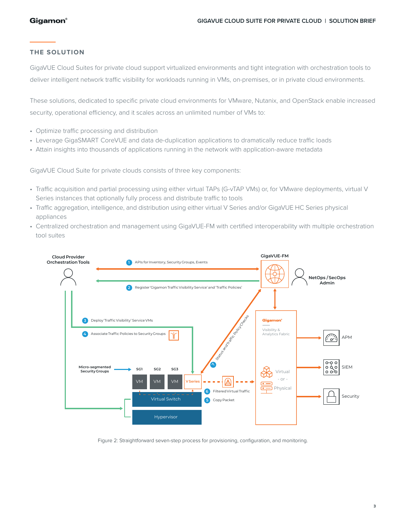#### **THE SOLUTION**

GigaVUE Cloud Suites for private cloud support virtualized environments and tight integration with orchestration tools to deliver intelligent network traffic visibility for workloads running in VMs, on-premises, or in private cloud environments.

These solutions, dedicated to specific private cloud environments for VMware, Nutanix, and OpenStack enable increased security, operational efficiency, and it scales across an unlimited number of VMs to:

- Optimize traffic processing and distribution
- Leverage GigaSMART CoreVUE and data de-duplication applications to dramatically reduce traffic loads
- Attain insights into thousands of applications running in the network with application-aware metadata

GigaVUE Cloud Suite for private clouds consists of three key components:

- Traffic acquisition and partial processing using either virtual TAPs (G-vTAP VMs) or, for VMware deployments, virtual V Series instances that optionally fully process and distribute traffic to tools
- Traffic aggregation, intelligence, and distribution using either virtual V Series and/or GigaVUE HC Series physical appliances
- Centralized orchestration and management using GigaVUE-FM with certified interoperability with multiple orchestration tool suites



Figure 2: Straightforward seven-step process for provisioning, configuration, and monitoring.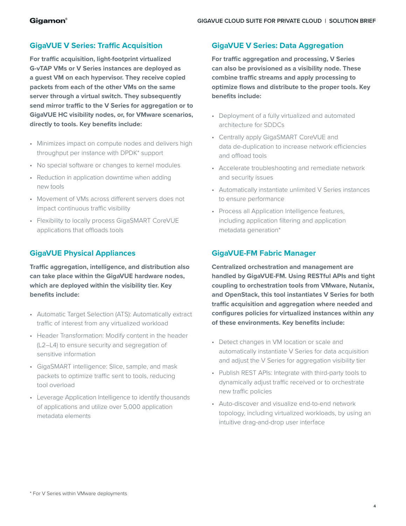#### **GigaVUE V Series: Traffic Acquisition**

**For traffic acquisition, light-footprint virtualized G-vTAP VMs or V Series instances are deployed as a guest VM on each hypervisor. They receive copied packets from each of the other VMs on the same server through a virtual switch. They subsequently send mirror traffic to the V Series for aggregation or to GigaVUE HC visibility nodes, or, for VMware scenarios, directly to tools. Key benefits include:** 

- Minimizes impact on compute nodes and delivers high throughput per instance with DPDK\* support
- No special software or changes to kernel modules
- Reduction in application downtime when adding new tools
- Movement of VMs across different servers does not impact continuous traffic visibility
- Flexibility to locally process GigaSMART CoreVUE applications that offloads tools

#### **GigaVUE Physical Appliances**

**Traffic aggregation, intelligence, and distribution also can take place within the GigaVUE hardware nodes, which are deployed within the visibility tier. Key benefits include:**

- Automatic Target Selection (ATS): Automatically extract traffic of interest from any virtualized workload
- Header Transformation: Modify content in the header (L2–L4) to ensure security and segregation of sensitive information
- GigaSMART intelligence: Slice, sample, and mask packets to optimize traffic sent to tools, reducing tool overload
- Leverage Application Intelligence to identify thousands of applications and utilize over 5,000 application metadata elements

#### **GigaVUE V Series: Data Aggregation**

**For traffic aggregation and processing, V Series can also be provisioned as a visibility node. These combine traffic streams and apply processing to optimize flows and distribute to the proper tools. Key benefits include:** 

- Deployment of a fully virtualized and automated architecture for SDDCs
- Centrally apply GigaSMART CoreVUE and data de-duplication to increase network efficiencies and offload tools
- Accelerate troubleshooting and remediate network and security issues
- Automatically instantiate unlimited V Series instances to ensure performance
- Process all Application Intelligence features, including application filtering and application metadata generation\*

#### **GigaVUE-FM Fabric Manager**

**Centralized orchestration and management are handled by GigaVUE-FM. Using RESTful APIs and tight coupling to orchestration tools from VMware, Nutanix, and OpenStack, this tool instantiates V Series for both traffic acquisition and aggregation where needed and configures policies for virtualized instances within any of these environments. Key benefits include:**

- Detect changes in VM location or scale and automatically instantiate V Series for data acquisition and adjust the V Series for aggregation visibility tier
- Publish REST APIs: Integrate with third-party tools to dynamically adjust traffic received or to orchestrate new traffic policies
- Auto-discover and visualize end-to-end network topology, including virtualized workloads, by using an intuitive drag-and-drop user interface